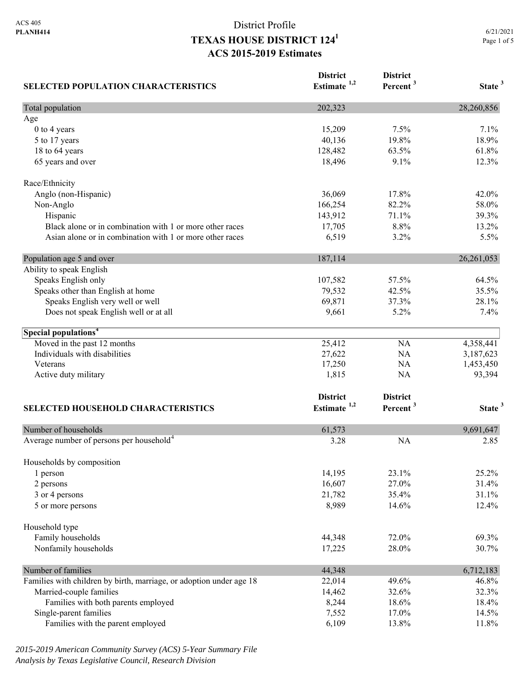| <b>SELECTED POPULATION CHARACTERISTICS</b>                          | <b>District</b><br>Estimate $1,2$ | <b>District</b><br>Percent <sup>3</sup> | State <sup>3</sup> |
|---------------------------------------------------------------------|-----------------------------------|-----------------------------------------|--------------------|
| Total population                                                    | 202,323                           |                                         | 28,260,856         |
| Age                                                                 |                                   |                                         |                    |
| $0$ to $4$ years                                                    | 15,209                            | 7.5%                                    | 7.1%               |
| 5 to 17 years                                                       | 40,136                            | 19.8%                                   | 18.9%              |
| 18 to 64 years                                                      | 128,482                           | 63.5%                                   | 61.8%              |
| 65 years and over                                                   | 18,496                            | 9.1%                                    | 12.3%              |
| Race/Ethnicity                                                      |                                   |                                         |                    |
| Anglo (non-Hispanic)                                                | 36,069                            | 17.8%                                   | 42.0%              |
| Non-Anglo                                                           | 166,254                           | 82.2%                                   | 58.0%              |
| Hispanic                                                            | 143,912                           | 71.1%                                   | 39.3%              |
| Black alone or in combination with 1 or more other races            | 17,705                            | 8.8%                                    | 13.2%              |
| Asian alone or in combination with 1 or more other races            | 6,519                             | 3.2%                                    | 5.5%               |
| Population age 5 and over                                           | 187,114                           |                                         | 26, 261, 053       |
| Ability to speak English                                            |                                   |                                         |                    |
| Speaks English only                                                 | 107,582                           | 57.5%                                   | 64.5%              |
| Speaks other than English at home                                   | 79,532                            | 42.5%                                   | 35.5%              |
| Speaks English very well or well                                    | 69,871                            | 37.3%                                   | 28.1%              |
| Does not speak English well or at all                               | 9,661                             | 5.2%                                    | 7.4%               |
| Special populations <sup>4</sup>                                    |                                   |                                         |                    |
| Moved in the past 12 months                                         | 25,412                            | NA                                      | 4,358,441          |
| Individuals with disabilities                                       | 27,622                            | NA                                      | 3,187,623          |
| Veterans                                                            | 17,250                            | NA                                      | 1,453,450          |
| Active duty military                                                | 1,815                             | NA                                      | 93,394             |
|                                                                     | <b>District</b>                   | <b>District</b>                         |                    |
| SELECTED HOUSEHOLD CHARACTERISTICS                                  | Estimate $1,2$                    | Percent <sup>3</sup>                    | State <sup>3</sup> |
| Number of households                                                | 61,573                            |                                         | 9,691,647          |
| Average number of persons per household <sup>4</sup>                | 3.28                              | <b>NA</b>                               | 2.85               |
|                                                                     |                                   |                                         |                    |
| Households by composition<br>1 person                               | 14,195                            | 23.1%                                   | 25.2%              |
| 2 persons                                                           | 16,607                            | 27.0%                                   | 31.4%              |
| 3 or 4 persons                                                      | 21,782                            | 35.4%                                   | 31.1%              |
| 5 or more persons                                                   | 8,989                             | 14.6%                                   | 12.4%              |
| Household type                                                      |                                   |                                         |                    |
| Family households                                                   | 44,348                            | 72.0%                                   | 69.3%              |
| Nonfamily households                                                | 17,225                            | 28.0%                                   | 30.7%              |
| Number of families                                                  | 44,348                            |                                         | 6,712,183          |
| Families with children by birth, marriage, or adoption under age 18 | 22,014                            | 49.6%                                   | 46.8%              |
| Married-couple families                                             | 14,462                            | 32.6%                                   | 32.3%              |
| Families with both parents employed                                 | 8,244                             | 18.6%                                   | 18.4%              |
| Single-parent families                                              | 7,552                             | 17.0%                                   | 14.5%              |
| Families with the parent employed                                   | 6,109                             | 13.8%                                   | 11.8%              |

*2015-2019 American Community Survey (ACS) 5-Year Summary File Analysis by Texas Legislative Council, Research Division*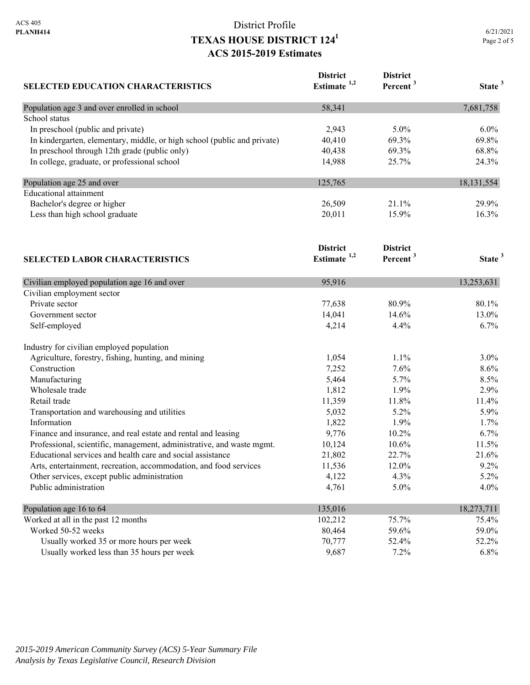| 6/21/2021   |  |
|-------------|--|
| Page 2 of 5 |  |

| <b>SELECTED EDUCATION CHARACTERISTICS</b>                                | <b>District</b><br>Estimate <sup>1,2</sup> | <b>District</b><br>Percent <sup>3</sup> | State <sup>3</sup> |
|--------------------------------------------------------------------------|--------------------------------------------|-----------------------------------------|--------------------|
|                                                                          |                                            |                                         |                    |
| Population age 3 and over enrolled in school                             | 58,341                                     |                                         | 7,681,758          |
| School status                                                            |                                            |                                         |                    |
| In preschool (public and private)                                        | 2,943                                      | 5.0%                                    | $6.0\%$            |
| In kindergarten, elementary, middle, or high school (public and private) | 40,410                                     | 69.3%                                   | 69.8%              |
| In preschool through 12th grade (public only)                            | 40,438                                     | 69.3%                                   | 68.8%              |
| In college, graduate, or professional school                             | 14,988                                     | 25.7%                                   | 24.3%              |
| Population age 25 and over                                               | 125,765                                    |                                         | 18, 131, 554       |
| <b>Educational</b> attainment                                            |                                            |                                         |                    |
| Bachelor's degree or higher                                              | 26,509                                     | 21.1%                                   | 29.9%              |
| Less than high school graduate                                           | 20,011                                     | 15.9%                                   | 16.3%              |
|                                                                          | <b>District</b>                            | <b>District</b>                         |                    |
| <b>SELECTED LABOR CHARACTERISTICS</b>                                    | Estimate <sup>1,2</sup>                    | Percent <sup>3</sup>                    | State <sup>3</sup> |
| Civilian employed population age 16 and over                             | 95,916                                     |                                         | 13,253,631         |
| Civilian employment sector                                               |                                            |                                         |                    |
| Private sector                                                           | 77,638                                     | 80.9%                                   | 80.1%              |
| Government sector                                                        | 14,041                                     | 14.6%                                   | 13.0%              |
| Self-employed                                                            | 4,214                                      | 4.4%                                    | 6.7%               |
| Industry for civilian employed population                                |                                            |                                         |                    |
| Agriculture, forestry, fishing, hunting, and mining                      | 1,054                                      | 1.1%                                    | $3.0\%$            |
| Construction                                                             | 7,252                                      | 7.6%                                    | 8.6%               |
| Manufacturing                                                            | 5,464                                      | 5.7%                                    | 8.5%               |
| Wholesale trade                                                          | 1,812                                      | 1.9%                                    | 2.9%               |
| Retail trade                                                             | 11,359                                     | 11.8%                                   | 11.4%              |
| Transportation and warehousing and utilities                             | 5,032                                      | 5.2%                                    | 5.9%               |
| Information                                                              | 1,822                                      | 1.9%                                    | 1.7%               |
| Finance and insurance, and real estate and rental and leasing            | 9,776                                      | 10.2%                                   | 6.7%               |
| Professional, scientific, management, administrative, and waste mgmt.    | 10,124                                     | 10.6%                                   | 11.5%              |
| Educational services and health care and social assistance               | 21,802                                     | 22.7%                                   | 21.6%              |
| Arts, entertainment, recreation, accommodation, and food services        | 11,536                                     | 12.0%                                   | 9.2%               |
| Other services, except public administration                             | 4,122                                      | 4.3%                                    | 5.2%               |
| Public administration                                                    | 4,761                                      | 5.0%                                    | 4.0%               |
| Population age 16 to 64                                                  | 135,016                                    |                                         | 18,273,711         |
| Worked at all in the past 12 months                                      | 102,212                                    | 75.7%                                   | 75.4%              |
| Worked 50-52 weeks                                                       | 80,464                                     | 59.6%                                   | 59.0%              |
| Usually worked 35 or more hours per week                                 | 70,777                                     | 52.4%                                   | 52.2%              |
| Usually worked less than 35 hours per week                               | 9,687                                      | 7.2%                                    | 6.8%               |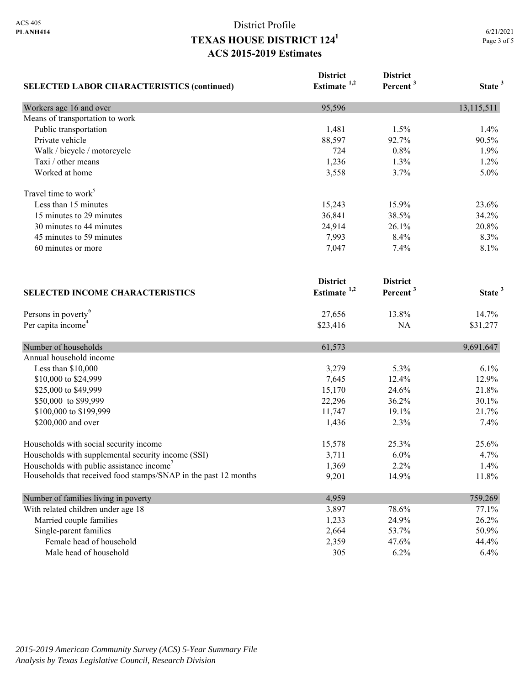| <b>SELECTED LABOR CHARACTERISTICS (continued)</b>               | <b>District</b><br>Estimate <sup>1,2</sup> | <b>District</b><br>Percent <sup>3</sup> | State <sup>3</sup> |
|-----------------------------------------------------------------|--------------------------------------------|-----------------------------------------|--------------------|
| Workers age 16 and over                                         | 95,596                                     |                                         | 13,115,511         |
| Means of transportation to work                                 |                                            |                                         |                    |
| Public transportation                                           | 1,481                                      | 1.5%                                    | 1.4%               |
| Private vehicle                                                 | 88,597                                     | 92.7%                                   | 90.5%              |
| Walk / bicycle / motorcycle                                     | 724                                        | 0.8%                                    | 1.9%               |
| Taxi / other means                                              | 1,236                                      | 1.3%                                    | 1.2%               |
| Worked at home                                                  | 3,558                                      | 3.7%                                    | 5.0%               |
| Travel time to work <sup>5</sup>                                |                                            |                                         |                    |
| Less than 15 minutes                                            | 15,243                                     | 15.9%                                   | 23.6%              |
| 15 minutes to 29 minutes                                        | 36,841                                     | 38.5%                                   | 34.2%              |
| 30 minutes to 44 minutes                                        | 24,914                                     | 26.1%                                   | 20.8%              |
| 45 minutes to 59 minutes                                        | 7,993                                      | 8.4%                                    | 8.3%               |
| 60 minutes or more                                              | 7,047                                      | 7.4%                                    | 8.1%               |
|                                                                 | <b>District</b>                            | <b>District</b>                         |                    |
| <b>SELECTED INCOME CHARACTERISTICS</b>                          | Estimate $1,2$                             | Percent <sup>3</sup>                    | State <sup>3</sup> |
| Persons in poverty <sup>6</sup>                                 | 27,656                                     | 13.8%                                   | 14.7%              |
| Per capita income <sup>4</sup>                                  | \$23,416                                   | <b>NA</b>                               | \$31,277           |
| Number of households                                            | 61,573                                     |                                         | 9,691,647          |
| Annual household income                                         |                                            |                                         |                    |
| Less than \$10,000                                              | 3,279                                      | 5.3%                                    | 6.1%               |
| \$10,000 to \$24,999                                            | 7,645                                      | 12.4%                                   | 12.9%              |
| \$25,000 to \$49,999                                            | 15,170                                     | 24.6%                                   | 21.8%              |
| \$50,000 to \$99,999                                            | 22,296                                     | 36.2%                                   | 30.1%              |
| \$100,000 to \$199,999                                          | 11,747                                     | 19.1%                                   | 21.7%              |
| \$200,000 and over                                              | 1,436                                      | 2.3%                                    | 7.4%               |
| Households with social security income                          | 15,578                                     | 25.3%                                   | 25.6%              |
| Households with supplemental security income (SSI)              | 3,711                                      | 6.0%                                    | 4.7%               |
| Households with public assistance income <sup>7</sup>           | 1,369                                      | 2.2%                                    | 1.4%               |
| Households that received food stamps/SNAP in the past 12 months | 9,201                                      | 14.9%                                   | 11.8%              |
| Number of families living in poverty                            | 4,959                                      |                                         | 759,269            |
| With related children under age 18                              | 3,897                                      | 78.6%                                   | 77.1%              |
| Married couple families                                         | 1,233                                      | 24.9%                                   | 26.2%              |
| Single-parent families                                          | 2,664                                      | 53.7%                                   | 50.9%              |
| Female head of household                                        | 2,359                                      | 47.6%                                   | 44.4%              |
| Male head of household                                          | 305                                        | 6.2%                                    | 6.4%               |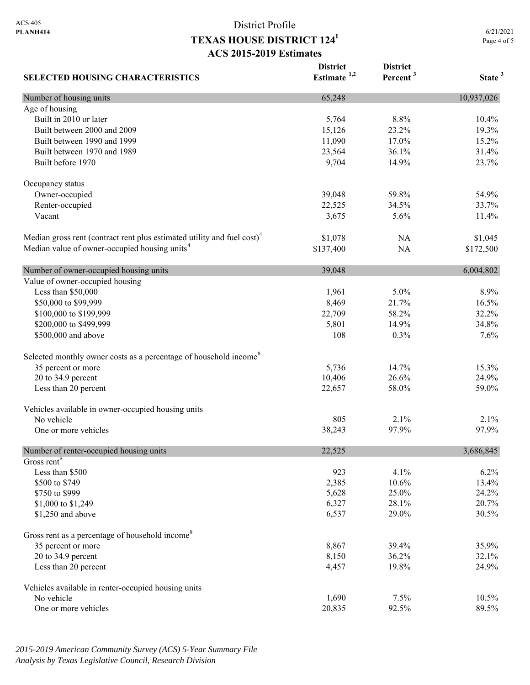6/21/2021 Page 4 of 5

| <b>SELECTED HOUSING CHARACTERISTICS</b>                                             | <b>District</b><br>Estimate $1,2$ | <b>District</b><br>Percent <sup>3</sup> | State <sup>3</sup> |
|-------------------------------------------------------------------------------------|-----------------------------------|-----------------------------------------|--------------------|
| Number of housing units                                                             | 65,248                            |                                         | 10,937,026         |
| Age of housing                                                                      |                                   |                                         |                    |
| Built in 2010 or later                                                              | 5,764                             | 8.8%                                    | 10.4%              |
| Built between 2000 and 2009                                                         | 15,126                            | 23.2%                                   | 19.3%              |
| Built between 1990 and 1999                                                         | 11,090                            | 17.0%                                   | 15.2%              |
| Built between 1970 and 1989                                                         | 23,564                            | 36.1%                                   | 31.4%              |
| Built before 1970                                                                   | 9,704                             | 14.9%                                   | 23.7%              |
| Occupancy status                                                                    |                                   |                                         |                    |
| Owner-occupied                                                                      | 39,048                            | 59.8%                                   | 54.9%              |
| Renter-occupied                                                                     | 22,525                            | 34.5%                                   | 33.7%              |
| Vacant                                                                              | 3,675                             | 5.6%                                    | 11.4%              |
| Median gross rent (contract rent plus estimated utility and fuel cost) <sup>4</sup> | \$1,078                           | NA                                      | \$1,045            |
| Median value of owner-occupied housing units <sup>4</sup>                           | \$137,400                         | <b>NA</b>                               | \$172,500          |
| Number of owner-occupied housing units                                              | 39,048                            |                                         | 6,004,802          |
| Value of owner-occupied housing                                                     |                                   |                                         |                    |
| Less than \$50,000                                                                  | 1,961                             | 5.0%                                    | 8.9%               |
| \$50,000 to \$99,999                                                                | 8,469                             | 21.7%                                   | 16.5%              |
| \$100,000 to \$199,999                                                              | 22,709                            | 58.2%                                   | 32.2%              |
| \$200,000 to \$499,999                                                              | 5,801                             | 14.9%                                   | 34.8%              |
| \$500,000 and above                                                                 | 108                               | 0.3%                                    | 7.6%               |
| Selected monthly owner costs as a percentage of household income <sup>8</sup>       |                                   |                                         |                    |
| 35 percent or more                                                                  | 5,736                             | 14.7%                                   | 15.3%              |
| 20 to 34.9 percent                                                                  | 10,406                            | 26.6%                                   | 24.9%              |
| Less than 20 percent                                                                | 22,657                            | 58.0%                                   | 59.0%              |
| Vehicles available in owner-occupied housing units                                  |                                   |                                         |                    |
| No vehicle                                                                          | 805                               | 2.1%                                    | 2.1%               |
| One or more vehicles                                                                | 38,243                            | 97.9%                                   | 97.9%              |
| Number of renter-occupied housing units                                             | 22,525                            |                                         | 3,686,845          |
| Gross rent <sup>9</sup>                                                             |                                   |                                         |                    |
| Less than \$500                                                                     | 923                               | 4.1%                                    | 6.2%               |
| \$500 to \$749                                                                      | 2,385                             | 10.6%                                   | 13.4%              |
| \$750 to \$999                                                                      | 5,628                             | 25.0%                                   | 24.2%              |
| \$1,000 to \$1,249                                                                  | 6,327                             | 28.1%                                   | 20.7%              |
| \$1,250 and above                                                                   | 6,537                             | 29.0%                                   | 30.5%              |
| Gross rent as a percentage of household income <sup>8</sup>                         |                                   |                                         |                    |
| 35 percent or more                                                                  | 8,867                             | 39.4%                                   | 35.9%              |
| 20 to 34.9 percent                                                                  | 8,150                             | 36.2%                                   | 32.1%              |
| Less than 20 percent                                                                | 4,457                             | 19.8%                                   | 24.9%              |
| Vehicles available in renter-occupied housing units                                 |                                   |                                         |                    |
| No vehicle                                                                          | 1,690                             | 7.5%                                    | 10.5%              |
| One or more vehicles                                                                | 20,835                            | 92.5%                                   | 89.5%              |